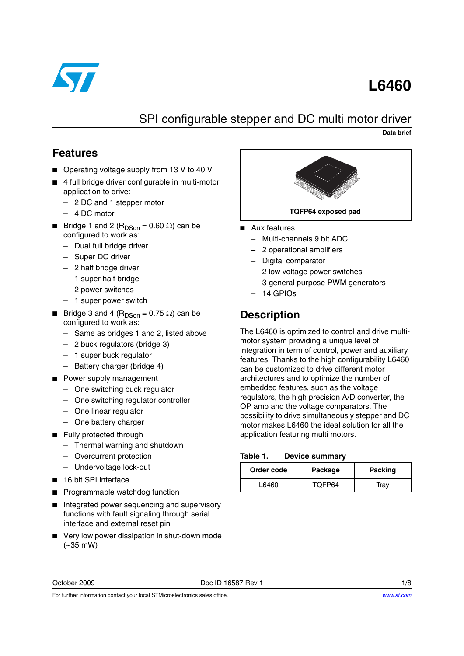

# **L6460**

## SPI configurable stepper and DC multi motor driver

**Data brief**

#### **Features**

- Operating voltage supply from 13 V to 40 V
- 4 full bridge driver configurable in multi-motor application to drive:
	- 2 DC and 1 stepper motor
	- 4 DC motor
- Bridge 1 and 2 (R<sub>DSon</sub> = 0.60 Ω) can be configured to work as:
	- Dual full bridge driver
	- Super DC driver
	- 2 half bridge driver
	- 1 super half bridge
	- 2 power switches
	- 1 super power switch
- Bridge 3 and 4 (R<sub>DSon</sub> = 0.75 Ω) can be configured to work as:
	- Same as bridges 1 and 2, listed above
	- 2 buck regulators (bridge 3)
	- 1 super buck regulator
	- Battery charger (bridge 4)
- Power supply management
	- One switching buck regulator
	- One switching regulator controller
	- One linear regulator
	- One battery charger
- Fully protected through
	- Thermal warning and shutdown
	- Overcurrent protection
	- Undervoltage lock-out
- 16 bit SPI interface
- Programmable watchdog function
- Integrated power sequencing and supervisory functions with fault signaling through serial interface and external reset pin
- Very low power dissipation in shut-down mode (~35 mW)



- Aux features
	- Multi-channels 9 bit ADC
	- 2 operational amplifiers
	- Digital comparator
	- 2 low voltage power switches
	- 3 general purpose PWM generators
	- 14 GPIOs

## **Description**

The L6460 is optimized to control and drive multimotor system providing a unique level of integration in term of control, power and auxiliary features. Thanks to the high configurability L6460 can be customized to drive different motor architectures and to optimize the number of embedded features, such as the voltage regulators, the high precision A/D converter, the OP amp and the voltage comparators. The possibility to drive simultaneously stepper and DC motor makes L6460 the ideal solution for all the application featuring multi motors.

#### **Table 1. Device summary**

| Order code | Package | <b>Packing</b> |
|------------|---------|----------------|
| L6460      | TOFP64  | Trav           |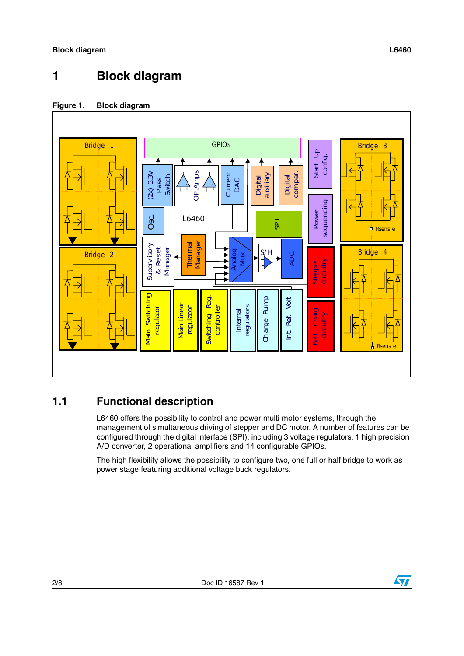# **1 Block diagram**

#### **Figure 1. Block diagram**



### **1.1 Functional description**

L6460 offers the possibility to control and power multi motor systems, through the management of simultaneous driving of stepper and DC motor. A number of features can be configured through the digital interface (SPI), including 3 voltage regulators, 1 high precision A/D converter, 2 operational amplifiers and 14 configurable GPIOs.

The high flexibility allows the possibility to configure two, one full or half bridge to work as

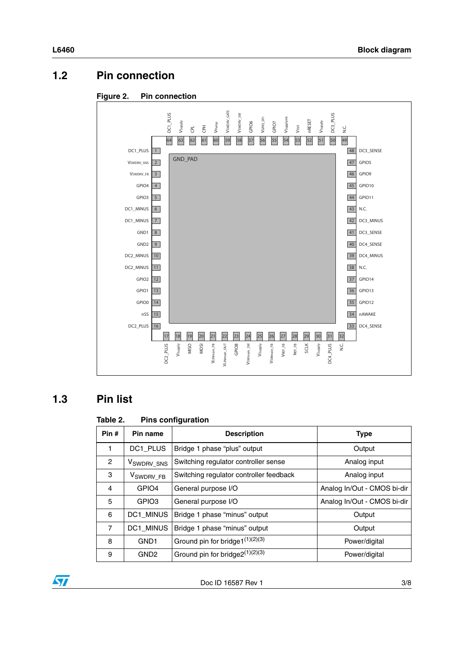### **1.2 Pin connection**





#### **1.3 Pin list**

#### Table 2. **Pins configuration**

| Pin#           | Pin name                | <b>Description</b>                      | <b>Type</b>                 |  |
|----------------|-------------------------|-----------------------------------------|-----------------------------|--|
| 1              | DC1 PLUS                | Bridge 1 phase "plus" output            | Output                      |  |
| 2              | V <sub>SWDRV</sub> _sns | Switching regulator controller sense    | Analog input                |  |
| 3              | V <sub>SWDRV_FB</sub>   | Switching regulator controller feedback | Analog input                |  |
| 4              | GPIO <sub>4</sub>       | General purpose I/O                     | Analog In/Out - CMOS bi-dir |  |
| 5              | GPIO <sub>3</sub>       | General purpose I/O                     | Analog In/Out - CMOS bi-dir |  |
| 6              | <b>DC1 MINUS</b>        | Bridge 1 phase "minus" output           | Output                      |  |
| $\overline{7}$ | <b>DC1 MINUS</b>        | Bridge 1 phase "minus" output           | Output                      |  |
| 8              | GND <sub>1</sub>        | Ground pin for bridge1(1)(2)(3)         | Power/digital               |  |
| 9              | GND <sub>2</sub>        | Ground pin for bridge2(1)(2)(3)         | Power/digital               |  |

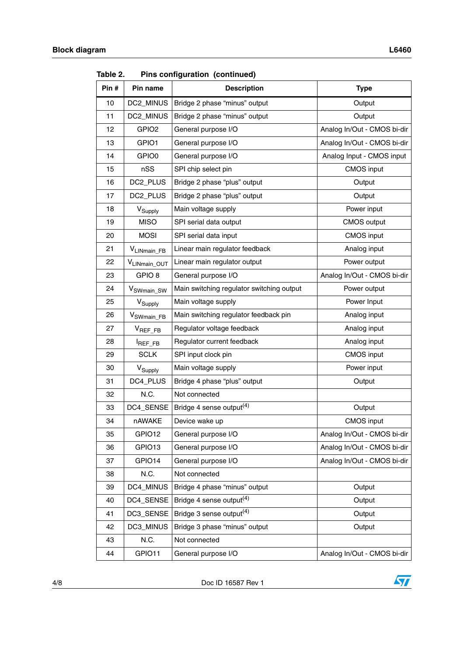|       |                         | .  comiguration (commaca)                      |                             |  |
|-------|-------------------------|------------------------------------------------|-----------------------------|--|
| Pin # | Pin name                | <b>Description</b>                             | <b>Type</b>                 |  |
| 10    | DC2_MINUS               | Bridge 2 phase "minus" output                  | Output                      |  |
| 11    | DC2_MINUS               | Bridge 2 phase "minus" output                  | Output                      |  |
| 12    | GPIO <sub>2</sub>       | General purpose I/O                            | Analog In/Out - CMOS bi-dir |  |
| 13    | GPIO1                   | General purpose I/O                            | Analog In/Out - CMOS bi-dir |  |
| 14    | GPIO0                   | General purpose I/O                            | Analog Input - CMOS input   |  |
| 15    | nSS                     | SPI chip select pin                            | CMOS input                  |  |
| 16    | DC2_PLUS                | Bridge 2 phase "plus" output                   | Output                      |  |
| 17    | DC2_PLUS                | Bridge 2 phase "plus" output                   | Output                      |  |
| 18    | V <sub>Supply</sub>     | Main voltage supply                            | Power input                 |  |
| 19    | <b>MISO</b>             | SPI serial data output                         | <b>CMOS output</b>          |  |
| 20    | <b>MOSI</b>             | SPI serial data input                          | <b>CMOS</b> input           |  |
| 21    | V <sub>LINmain_FB</sub> | Linear main regulator feedback                 | Analog input                |  |
| 22    | VLINmain_OUT            | Linear main regulator output                   | Power output                |  |
| 23    | GPIO <sub>8</sub>       | General purpose I/O                            | Analog In/Out - CMOS bi-dir |  |
| 24    | V <sub>SWmain</sub> SW  | Main switching regulator switching output      | Power output                |  |
| 25    | V <sub>Supply</sub>     | Main voltage supply                            | Power Input                 |  |
| 26    | V <sub>SWmain_FB</sub>  | Main switching regulator feedback pin          | Analog input                |  |
| 27    | $V_{REF\_FB}$           | Regulator voltage feedback                     | Analog input                |  |
| 28    | REF_FB                  | Regulator current feedback                     | Analog input                |  |
| 29    | <b>SCLK</b>             | SPI input clock pin                            | CMOS input                  |  |
| 30    | V <sub>Supply</sub>     | Main voltage supply                            | Power input                 |  |
| 31    | DC4_PLUS                | Bridge 4 phase "plus" output                   | Output                      |  |
| 32    | N.C.                    | Not connected                                  |                             |  |
| 33    | DC4_SENSE               | Bridge 4 sense output <sup>(4)</sup><br>Output |                             |  |
| 34    | nAWAKE                  | Device wake up                                 | <b>CMOS</b> input           |  |
| 35    | GPIO12                  | General purpose I/O                            | Analog In/Out - CMOS bi-dir |  |
| 36    | GPIO13                  | General purpose I/O                            | Analog In/Out - CMOS bi-dir |  |
| 37    | GPIO14                  | General purpose I/O                            | Analog In/Out - CMOS bi-dir |  |
| 38    | N.C.                    | Not connected                                  |                             |  |
| 39    | DC4_MINUS               | Bridge 4 phase "minus" output                  | Output                      |  |
| 40    | DC4_SENSE               | Bridge 4 sense output <sup>(4)</sup>           | Output                      |  |
| 41    | DC3_SENSE               | Bridge 3 sense output <sup>(4)</sup>           | Output                      |  |
| 42    | DC3_MINUS               | Bridge 3 phase "minus" output                  | Output                      |  |
| 43    | N.C.                    | Not connected                                  |                             |  |
| 44    | GPIO11                  | General purpose I/O                            | Analog In/Out - CMOS bi-dir |  |

**Table 2. Pins configuration (continued)**



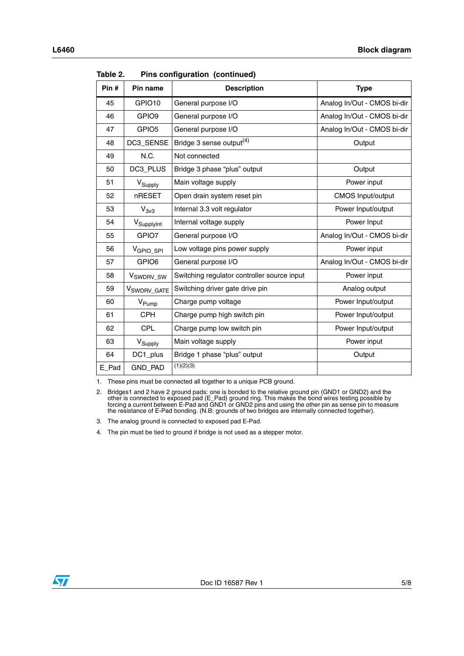| Pin#  | Pin name                | <b>Description</b>                          | <b>Type</b>                 |
|-------|-------------------------|---------------------------------------------|-----------------------------|
| 45    | GPIO10                  | General purpose I/O                         | Analog In/Out - CMOS bi-dir |
| 46    | GPIO <sub>9</sub>       | General purpose I/O                         | Analog In/Out - CMOS bi-dir |
| 47    | GPIO <sub>5</sub>       | General purpose I/O                         | Analog In/Out - CMOS bi-dir |
| 48    | DC3_SENSE               | Bridge 3 sense output <sup>(4)</sup>        | Output                      |
| 49    | N.C.                    | Not connected                               |                             |
| 50    | DC3_PLUS                | Bridge 3 phase "plus" output                | Output                      |
| 51    | V <sub>Supply</sub>     | Main voltage supply                         | Power input                 |
| 52    | nRESET                  | Open drain system reset pin                 | CMOS Input/output           |
| 53    | $V_{3v3}$               | Internal 3.3 volt regulator                 | Power Input/output          |
| 54    | V <sub>SupplyInt</sub>  | Internal voltage supply                     | Power Input                 |
| 55    | GPIO7                   | General purpose I/O                         | Analog In/Out - CMOS bi-dir |
| 56    | V <sub>GPIO_SPI</sub>   | Low voltage pins power supply               | Power input                 |
| 57    | GPIO6                   | General purpose I/O                         | Analog In/Out - CMOS bi-dir |
| 58    | V <sub>SWDRV_SW</sub>   | Switching regulator controller source input | Power input                 |
| 59    | V <sub>SWDRV</sub> GATE | Switching driver gate drive pin             | Analog output               |
| 60    | V <sub>Pump</sub>       | Charge pump voltage                         | Power Input/output          |
| 61    | <b>CPH</b>              | Charge pump high switch pin                 | Power Input/output          |
| 62    | <b>CPL</b>              | Charge pump low switch pin                  | Power Input/output          |
| 63    | V <sub>Supply</sub>     | Main voltage supply                         | Power input                 |
| 64    | DC1_plus                | Bridge 1 phase "plus" output                | Output                      |
| E Pad | <b>GND PAD</b>          | (1)(2)(3)                                   |                             |

**Table 2. Pins configuration (continued)**

1. These pins must be connected all together to a unique PCB ground.

2. Bridges1 and 2 have 2 ground pads: one is bonded to the relative ground pin (GND1 or GND2) and the other is connected to exposed pad (E\_Pad) ground ring. This makes the bond wires testing possible by forcing a current between E-Pad and GND1 or GND2 pins and using the other pin as sense pin to measure the resistance of E-Pad bonding. (N.B: grounds of two bridges are internally connected together).

3. The analog ground is connected to exposed pad E-Pad.

4. The pin must be tied to ground if bridge is not used as a stepper motor.

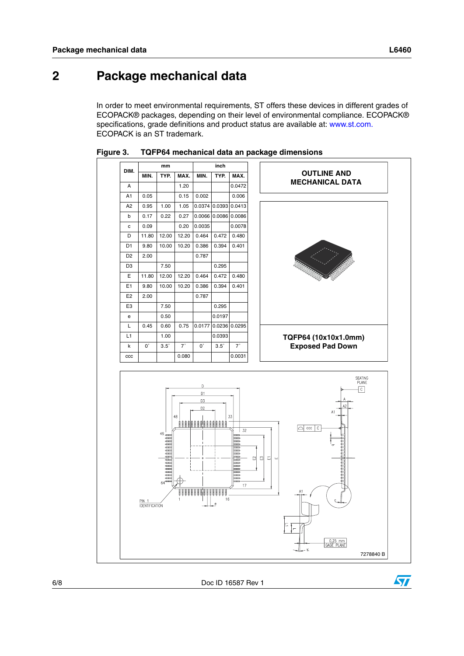In order to meet environmental requirements, ST offers these devices in different grades of ECOPACK® packages, depending on their level of environmental compliance. ECOPACK® specifications, grade definitions and product status are available at: www.st.com. ECOPACK is an ST trademark.







 $\sqrt{}$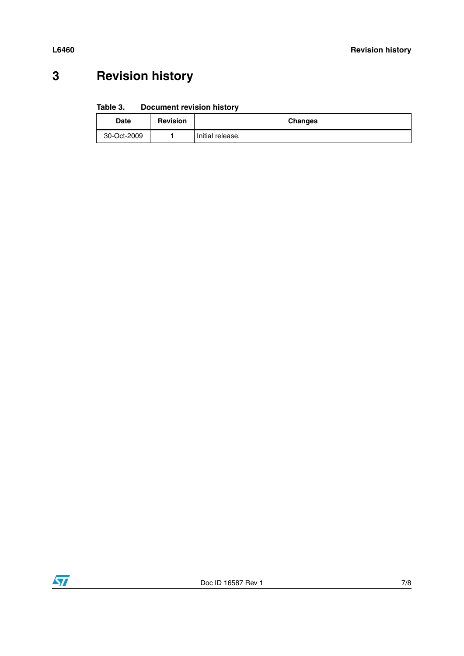# **3 Revision history**

#### Table 3. **Document revision history**

| Date        | <b>Revision</b> | <b>Changes</b>   |
|-------------|-----------------|------------------|
| 30-Oct-2009 |                 | Initial release. |